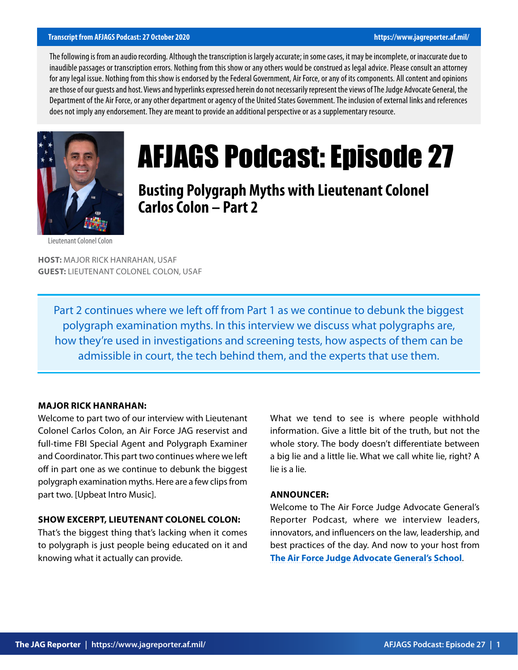#### **Transcript from AFJAGS Podcast: 27 October 2020**

The following is from an audio recording. Although the transcription is largely accurate; in some cases, it may be incomplete, or inaccurate due to inaudible passages or transcription errors. Nothing from this show or any others would be construed as legal advice. Please consult an attorney for any legal issue. Nothing from this show is endorsed by the Federal Government, Air Force, or any of its components. All content and opinions are those of our guests and host. Views and hyperlinks expressed herein do not necessarily represent the views of The Judge Advocate General, the Department of the Air Force, or any other department or agency of the United States Government. The inclusion of external links and references does not imply any endorsement. They are meant to provide an additional perspective or as a supplementary resource.



# AFJAGS Podcast: Episode 27

**Busting Polygraph Myths with Lieutenant Colonel Carlos Colon – Part 2**

Lieutenant Colonel Colon

**HOST:** MAJOR RICK HANRAHAN, USAF **GUEST:** LIEUTENANT COLONEL COLON, USAF

Part 2 continues where we left off from Part 1 as we continue to debunk the biggest polygraph examination myths. In this interview we discuss what polygraphs are, how they're used in investigations and screening tests, how aspects of them can be admissible in court, the tech behind them, and the experts that use them.

#### **MAJOR RICK HANRAHAN:**

Welcome to part two of our interview with Lieutenant Colonel Carlos Colon, an Air Force JAG reservist and full-time FBI Special Agent and Polygraph Examiner and Coordinator. This part two continues where we left off in part one as we continue to debunk the biggest polygraph examination myths. Here are a few clips from part two. [Upbeat Intro Music].

#### **SHOW EXCERPT, LIEUTENANT COLONEL COLON:**

That's the biggest thing that's lacking when it comes to polygraph is just people being educated on it and knowing what it actually can provide.

What we tend to see is where people withhold information. Give a little bit of the truth, but not the whole story. The body doesn't differentiate between a big lie and a little lie. What we call white lie, right? A lie is a lie.

#### **ANNOUNCER:**

Welcome to The Air Force Judge Advocate General's Reporter Podcast, where we interview leaders, innovators, and influencers on the law, leadership, and best practices of the day. And now to your host from **[The Air Force Judge Advocate General's School](https://www.afjag.af.mil/JAG-School/)**.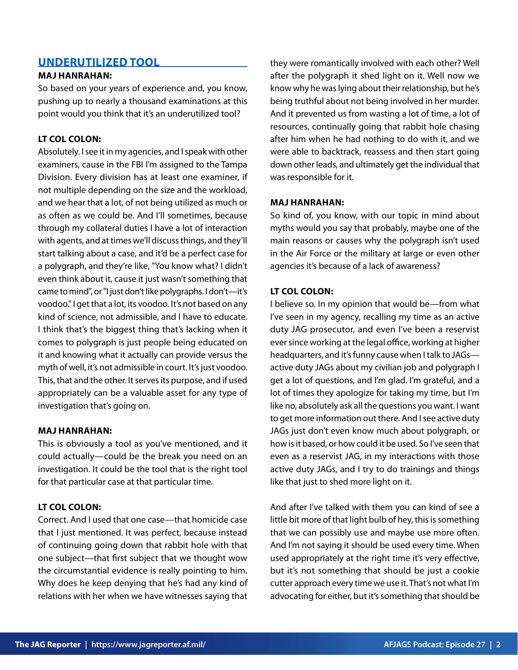# **UNDERUTILIZED TOOL**

#### **MAJ HANRAHAN:**

So based on your years of experience and, you know, pushing up to nearly a thousand examinations at this point would you think that it's an underutilized tool?

## **LT COL COLON:**

Absolutely. I see it in my agencies, and I speak with other examiners, cause in the FBI I'm assigned to the Tampa Division. Every division has at least one examiner, if not multiple depending on the size and the workload, and we hear that a lot, of not being utilized as much or as often as we could be. And I'll sometimes, because through my collateral duties I have a lot of interaction with agents, and at times we'll discuss things, and they'll start talking about a case, and it'd be a perfect case for a polygraph, and they're like, "You know what? I didn't even think about it, cause it just wasn't something that came to mind", or "I just don't like polygraphs. I don't—it's voodoo." I get that a lot, its voodoo. It's not based on any kind of science, not admissible, and I have to educate. I think that's the biggest thing that's lacking when it comes to polygraph is just people being educated on it and knowing what it actually can provide versus the myth of well, it's not admissible in court. It's just voodoo. This, that and the other. It serves its purpose, and if used appropriately can be a valuable asset for any type of investigation that's going on.

#### **MAJ HANRAHAN:**

This is obviously a tool as you've mentioned, and it could actually—could be the break you need on an investigation. It could be the tool that is the right tool for that particular case at that particular time.

#### **LT COL COLON:**

Correct. And I used that one case—that homicide case that I just mentioned. It was perfect, because instead of continuing going down that rabbit hole with that one subject—that first subject that we thought wow the circumstantial evidence is really pointing to him. Why does he keep denying that he's had any kind of relations with her when we have witnesses saying that

they were romantically involved with each other? Well after the polygraph it shed light on it. Well now we know why he was lying about their relationship, but he's being truthful about not being involved in her murder. And it prevented us from wasting a lot of time, a lot of resources, continually going that rabbit hole chasing after him when he had nothing to do with it, and we were able to backtrack, reassess and then start going down other leads, and ultimately get the individual that was responsible for it.

#### **MAJ HANRAHAN:**

So kind of, you know, with our topic in mind about myths would you say that probably, maybe one of the main reasons or causes why the polygraph isn't used in the Air Force or the military at large or even other agencies it's because of a lack of awareness?

#### **LT COL COLON:**

I believe so. In my opinion that would be—from what I've seen in my agency, recalling my time as an active duty JAG prosecutor, and even I've been a reservist ever since working at the legal office, working at higher headquarters, and it's funny cause when I talk to JAGs active duty JAGs about my civilian job and polygraph I get a lot of questions, and I'm glad. I'm grateful, and a lot of times they apologize for taking my time, but I'm like no, absolutely ask all the questions you want. I want to get more information out there. And I see active duty JAGs just don't even know much about polygraph, or how is it based, or how could it be used. So I've seen that even as a reservist JAG, in my interactions with those active duty JAGs, and I try to do trainings and things like that just to shed more light on it.

And after I've talked with them you can kind of see a little bit more of that light bulb of hey, this is something that we can possibly use and maybe use more often. And I'm not saying it should be used every time. When used appropriately at the right time it's very effective, but it's not something that should be just a cookie cutter approach every time we use it. That's not what I'm advocating for either, but it's something that should be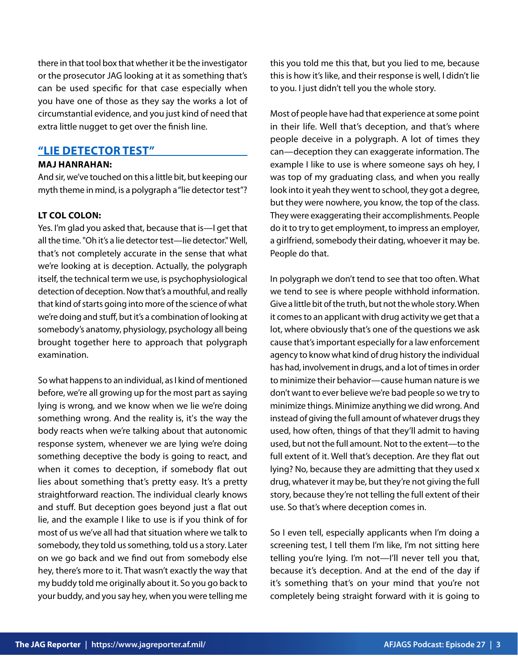there in that tool box that whether it be the investigator or the prosecutor JAG looking at it as something that's can be used specific for that case especially when you have one of those as they say the works a lot of circumstantial evidence, and you just kind of need that extra little nugget to get over the finish line.

## **"LIE DETECTOR TEST"**

#### **MAJ HANRAHAN:**

And sir, we've touched on this a little bit, but keeping our myth theme in mind, is a polygraph a "lie detector test"?

#### **LT COL COLON:**

Yes. I'm glad you asked that, because that is—I get that all the time. "Oh it's a lie detector test—lie detector." Well, that's not completely accurate in the sense that what we're looking at is deception. Actually, the polygraph itself, the technical term we use, is psychophysiological detection of deception. Now that's a mouthful, and really that kind of starts going into more of the science of what we're doing and stuff, but it's a combination of looking at somebody's anatomy, physiology, psychology all being brought together here to approach that polygraph examination.

So what happens to an individual, as I kind of mentioned before, we're all growing up for the most part as saying lying is wrong, and we know when we lie we're doing something wrong. And the reality is, it's the way the body reacts when we're talking about that autonomic response system, whenever we are lying we're doing something deceptive the body is going to react, and when it comes to deception, if somebody flat out lies about something that's pretty easy. It's a pretty straightforward reaction. The individual clearly knows and stuff. But deception goes beyond just a flat out lie, and the example I like to use is if you think of for most of us we've all had that situation where we talk to somebody, they told us something, told us a story. Later on we go back and we find out from somebody else hey, there's more to it. That wasn't exactly the way that my buddy told me originally about it. So you go back to your buddy, and you say hey, when you were telling me this you told me this that, but you lied to me, because this is how it's like, and their response is well, I didn't lie to you. I just didn't tell you the whole story.

Most of people have had that experience at some point in their life. Well that's deception, and that's where people deceive in a polygraph. A lot of times they can—deception they can exaggerate information. The example I like to use is where someone says oh hey, I was top of my graduating class, and when you really look into it yeah they went to school, they got a degree, but they were nowhere, you know, the top of the class. They were exaggerating their accomplishments. People do it to try to get employment, to impress an employer, a girlfriend, somebody their dating, whoever it may be. People do that.

In polygraph we don't tend to see that too often. What we tend to see is where people withhold information. Give a little bit of the truth, but not the whole story. When it comes to an applicant with drug activity we get that a lot, where obviously that's one of the questions we ask cause that's important especially for a law enforcement agency to know what kind of drug history the individual has had, involvement in drugs, and a lot of times in order to minimize their behavior—cause human nature is we don't want to ever believe we're bad people so we try to minimize things. Minimize anything we did wrong. And instead of giving the full amount of whatever drugs they used, how often, things of that they'll admit to having used, but not the full amount. Not to the extent—to the full extent of it. Well that's deception. Are they flat out lying? No, because they are admitting that they used x drug, whatever it may be, but they're not giving the full story, because they're not telling the full extent of their use. So that's where deception comes in.

So I even tell, especially applicants when I'm doing a screening test, I tell them I'm like, I'm not sitting here telling you're lying. I'm not—I'll never tell you that, because it's deception. And at the end of the day if it's something that's on your mind that you're not completely being straight forward with it is going to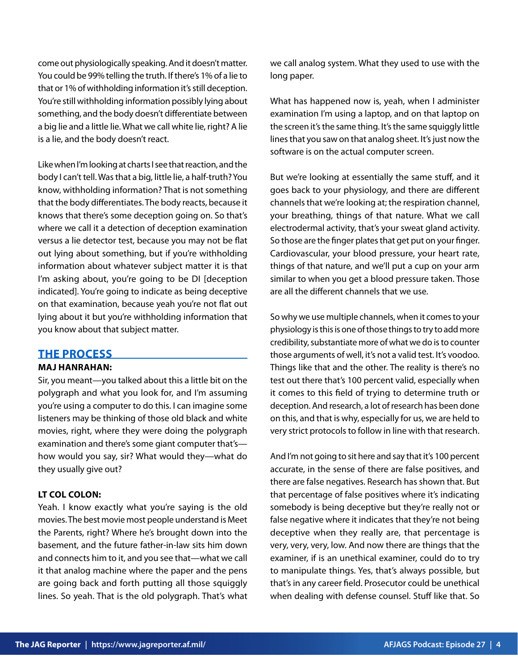come out physiologically speaking. And it doesn't matter. You could be 99% telling the truth. If there's 1% of a lie to that or 1% of withholding information it's still deception. You're still withholding information possibly lying about something, and the body doesn't differentiate between a big lie and a little lie. What we call white lie, right? A lie is a lie, and the body doesn't react.

Like when I'm looking at charts I see that reaction, and the body I can't tell. Was that a big, little lie, a half-truth? You know, withholding information? That is not something that the body differentiates. The body reacts, because it knows that there's some deception going on. So that's where we call it a detection of deception examination versus a lie detector test, because you may not be flat out lying about something, but if you're withholding information about whatever subject matter it is that I'm asking about, you're going to be DI [deception indicated]. You're going to indicate as being deceptive on that examination, because yeah you're not flat out lying about it but you're withholding information that you know about that subject matter.

# **THE PROCESS**

#### **MAJ HANRAHAN:**

Sir, you meant—you talked about this a little bit on the polygraph and what you look for, and I'm assuming you're using a computer to do this. I can imagine some listeners may be thinking of those old black and white movies, right, where they were doing the polygraph examination and there's some giant computer that's how would you say, sir? What would they—what do they usually give out?

#### **LT COL COLON:**

Yeah. I know exactly what you're saying is the old movies. The best movie most people understand is Meet the Parents, right? Where he's brought down into the basement, and the future father-in-law sits him down and connects him to it, and you see that—what we call it that analog machine where the paper and the pens are going back and forth putting all those squiggly lines. So yeah. That is the old polygraph. That's what we call analog system. What they used to use with the long paper.

What has happened now is, yeah, when I administer examination I'm using a laptop, and on that laptop on the screen it's the same thing. It's the same squiggly little lines that you saw on that analog sheet. It's just now the software is on the actual computer screen.

But we're looking at essentially the same stuff, and it goes back to your physiology, and there are different channels that we're looking at; the respiration channel, your breathing, things of that nature. What we call electrodermal activity, that's your sweat gland activity. So those are the finger plates that get put on your finger. Cardiovascular, your blood pressure, your heart rate, things of that nature, and we'll put a cup on your arm similar to when you get a blood pressure taken. Those are all the different channels that we use.

So why we use multiple channels, when it comes to your physiology is this is one of those things to try to add more credibility, substantiate more of what we do is to counter those arguments of well, it's not a valid test. It's voodoo. Things like that and the other. The reality is there's no test out there that's 100 percent valid, especially when it comes to this field of trying to determine truth or deception. And research, a lot of research has been done on this, and that is why, especially for us, we are held to very strict protocols to follow in line with that research.

And I'm not going to sit here and say that it's 100 percent accurate, in the sense of there are false positives, and there are false negatives. Research has shown that. But that percentage of false positives where it's indicating somebody is being deceptive but they're really not or false negative where it indicates that they're not being deceptive when they really are, that percentage is very, very, very, low. And now there are things that the examiner, if is an unethical examiner, could do to try to manipulate things. Yes, that's always possible, but that's in any career field. Prosecutor could be unethical when dealing with defense counsel. Stuff like that. So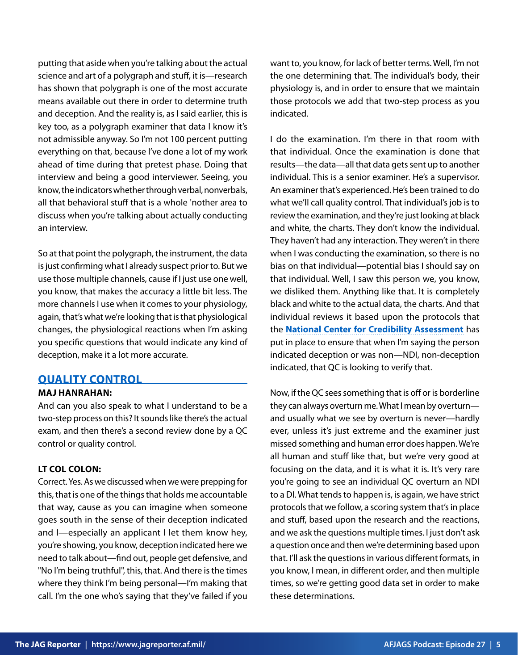putting that aside when you're talking about the actual science and art of a polygraph and stuff, it is—research has shown that polygraph is one of the most accurate means available out there in order to determine truth and deception. And the reality is, as I said earlier, this is key too, as a polygraph examiner that data I know it's not admissible anyway. So I'm not 100 percent putting everything on that, because I've done a lot of my work ahead of time during that pretest phase. Doing that interview and being a good interviewer. Seeing, you know, the indicators whether through verbal, nonverbals, all that behavioral stuff that is a whole 'nother area to discuss when you're talking about actually conducting an interview.

So at that point the polygraph, the instrument, the data is just confirming what I already suspect prior to. But we use those multiple channels, cause if I just use one well, you know, that makes the accuracy a little bit less. The more channels I use when it comes to your physiology, again, that's what we're looking that is that physiological changes, the physiological reactions when I'm asking you specific questions that would indicate any kind of deception, make it a lot more accurate.

## **QUALITY CONTROL**

#### **MAJ HANRAHAN:**

And can you also speak to what I understand to be a two-step process on this? It sounds like there's the actual exam, and then there's a second review done by a QC control or quality control.

#### **LT COL COLON:**

Correct. Yes. As we discussed when we were prepping for this, that is one of the things that holds me accountable that way, cause as you can imagine when someone goes south in the sense of their deception indicated and I—especially an applicant I let them know hey, you're showing, you know, deception indicated here we need to talk about—find out, people get defensive, and "No I'm being truthful", this, that. And there is the times where they think I'm being personal—I'm making that call. I'm the one who's saying that they've failed if you want to, you know, for lack of better terms. Well, I'm not the one determining that. The individual's body, their physiology is, and in order to ensure that we maintain those protocols we add that two-step process as you indicated.

I do the examination. I'm there in that room with that individual. Once the examination is done that results—the data—all that data gets sent up to another individual. This is a senior examiner. He's a supervisor. An examiner that's experienced. He's been trained to do what we'll call quality control. That individual's job is to review the examination, and they're just looking at black and white, the charts. They don't know the individual. They haven't had any interaction. They weren't in there when I was conducting the examination, so there is no bias on that individual—potential bias I should say on that individual. Well, I saw this person we, you know, we disliked them. Anything like that. It is completely black and white to the actual data, the charts. And that individual reviews it based upon the protocols that the **[National Center for Credibility Assessment](https://www.dcsa.mil/mc/tec/ncca/)** has put in place to ensure that when I'm saying the person indicated deception or was non—NDI, non-deception indicated, that QC is looking to verify that.

Now, if the QC sees something that is off or is borderline they can always overturn me. What I mean by overturn and usually what we see by overturn is never—hardly ever, unless it's just extreme and the examiner just missed something and human error does happen. We're all human and stuff like that, but we're very good at focusing on the data, and it is what it is. It's very rare you're going to see an individual QC overturn an NDI to a DI. What tends to happen is, is again, we have strict protocols that we follow, a scoring system that's in place and stuff, based upon the research and the reactions, and we ask the questions multiple times. I just don't ask a question once and then we're determining based upon that. I'll ask the questions in various different formats, in you know, I mean, in different order, and then multiple times, so we're getting good data set in order to make these determinations.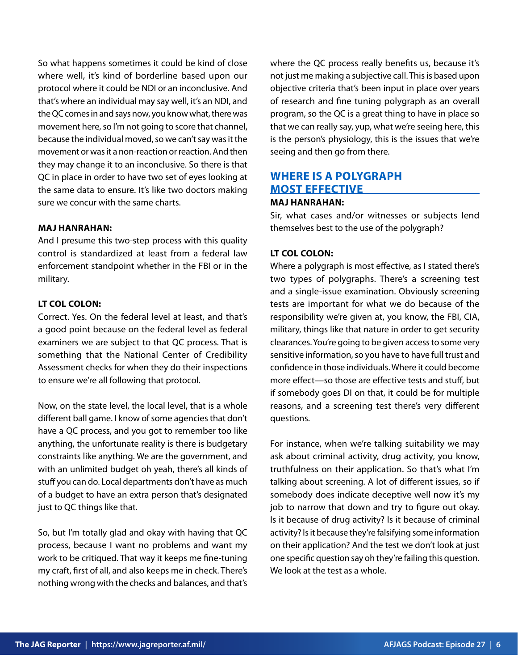So what happens sometimes it could be kind of close where well, it's kind of borderline based upon our protocol where it could be NDI or an inconclusive. And that's where an individual may say well, it's an NDI, and the QC comes in and says now, you know what, there was movement here, so I'm not going to score that channel, because the individual moved, so we can't say was it the movement or was it a non-reaction or reaction. And then they may change it to an inconclusive. So there is that QC in place in order to have two set of eyes looking at the same data to ensure. It's like two doctors making sure we concur with the same charts.

#### **MAJ HANRAHAN:**

And I presume this two-step process with this quality control is standardized at least from a federal law enforcement standpoint whether in the FBI or in the military.

#### **LT COL COLON:**

Correct. Yes. On the federal level at least, and that's a good point because on the federal level as federal examiners we are subject to that QC process. That is something that the National Center of Credibility Assessment checks for when they do their inspections to ensure we're all following that protocol.

Now, on the state level, the local level, that is a whole different ball game. I know of some agencies that don't have a QC process, and you got to remember too like anything, the unfortunate reality is there is budgetary constraints like anything. We are the government, and with an unlimited budget oh yeah, there's all kinds of stuff you can do. Local departments don't have as much of a budget to have an extra person that's designated just to QC things like that.

So, but I'm totally glad and okay with having that QC process, because I want no problems and want my work to be critiqued. That way it keeps me fine-tuning my craft, first of all, and also keeps me in check. There's nothing wrong with the checks and balances, and that's where the QC process really benefits us, because it's not just me making a subjective call. This is based upon objective criteria that's been input in place over years of research and fine tuning polygraph as an overall program, so the QC is a great thing to have in place so that we can really say, yup, what we're seeing here, this is the person's physiology, this is the issues that we're seeing and then go from there.

# **WHERE IS A POLYGRAPH MOST EFFECTIVE**

#### **MAJ HANRAHAN:**

Sir, what cases and/or witnesses or subjects lend themselves best to the use of the polygraph?

#### **LT COL COLON:**

Where a polygraph is most effective, as I stated there's two types of polygraphs. There's a screening test and a single-issue examination. Obviously screening tests are important for what we do because of the responsibility we're given at, you know, the FBI, CIA, military, things like that nature in order to get security clearances. You're going to be given access to some very sensitive information, so you have to have full trust and confidence in those individuals. Where it could become more effect—so those are effective tests and stuff, but if somebody goes DI on that, it could be for multiple reasons, and a screening test there's very different questions.

For instance, when we're talking suitability we may ask about criminal activity, drug activity, you know, truthfulness on their application. So that's what I'm talking about screening. A lot of different issues, so if somebody does indicate deceptive well now it's my job to narrow that down and try to figure out okay. Is it because of drug activity? Is it because of criminal activity? Is it because they're falsifying some information on their application? And the test we don't look at just one specific question say oh they're failing this question. We look at the test as a whole.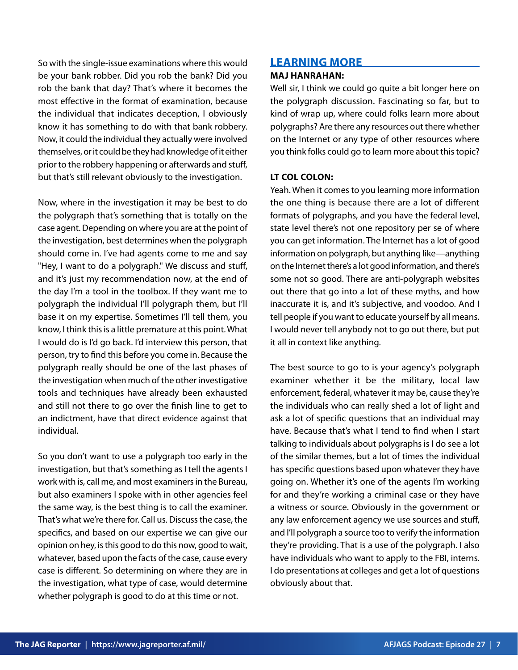So with the single-issue examinations where this would be your bank robber. Did you rob the bank? Did you rob the bank that day? That's where it becomes the most effective in the format of examination, because the individual that indicates deception, I obviously know it has something to do with that bank robbery. Now, it could the individual they actually were involved themselves, or it could be they had knowledge of it either prior to the robbery happening or afterwards and stuff, but that's still relevant obviously to the investigation.

Now, where in the investigation it may be best to do the polygraph that's something that is totally on the case agent. Depending on where you are at the point of the investigation, best determines when the polygraph should come in. I've had agents come to me and say "Hey, I want to do a polygraph." We discuss and stuff, and it's just my recommendation now, at the end of the day I'm a tool in the toolbox. If they want me to polygraph the individual I'll polygraph them, but I'll base it on my expertise. Sometimes I'll tell them, you know, I think this is a little premature at this point. What I would do is I'd go back. I'd interview this person, that person, try to find this before you come in. Because the polygraph really should be one of the last phases of the investigation when much of the other investigative tools and techniques have already been exhausted and still not there to go over the finish line to get to an indictment, have that direct evidence against that individual.

So you don't want to use a polygraph too early in the investigation, but that's something as I tell the agents I work with is, call me, and most examiners in the Bureau, but also examiners I spoke with in other agencies feel the same way, is the best thing is to call the examiner. That's what we're there for. Call us. Discuss the case, the specifics, and based on our expertise we can give our opinion on hey, is this good to do this now, good to wait, whatever, based upon the facts of the case, cause every case is different. So determining on where they are in the investigation, what type of case, would determine whether polygraph is good to do at this time or not.

# **LEARNING MORE**

#### **MAJ HANRAHAN:**

Well sir, I think we could go quite a bit longer here on the polygraph discussion. Fascinating so far, but to kind of wrap up, where could folks learn more about polygraphs? Are there any resources out there whether on the Internet or any type of other resources where you think folks could go to learn more about this topic?

## **LT COL COLON:**

Yeah. When it comes to you learning more information the one thing is because there are a lot of different formats of polygraphs, and you have the federal level, state level there's not one repository per se of where you can get information. The Internet has a lot of good information on polygraph, but anything like—anything on the Internet there's a lot good information, and there's some not so good. There are anti-polygraph websites out there that go into a lot of these myths, and how inaccurate it is, and it's subjective, and voodoo. And I tell people if you want to educate yourself by all means. I would never tell anybody not to go out there, but put it all in context like anything.

The best source to go to is your agency's polygraph examiner whether it be the military, local law enforcement, federal, whatever it may be, cause they're the individuals who can really shed a lot of light and ask a lot of specific questions that an individual may have. Because that's what I tend to find when I start talking to individuals about polygraphs is I do see a lot of the similar themes, but a lot of times the individual has specific questions based upon whatever they have going on. Whether it's one of the agents I'm working for and they're working a criminal case or they have a witness or source. Obviously in the government or any law enforcement agency we use sources and stuff, and I'll polygraph a source too to verify the information they're providing. That is a use of the polygraph. I also have individuals who want to apply to the FBI, interns. I do presentations at colleges and get a lot of questions obviously about that.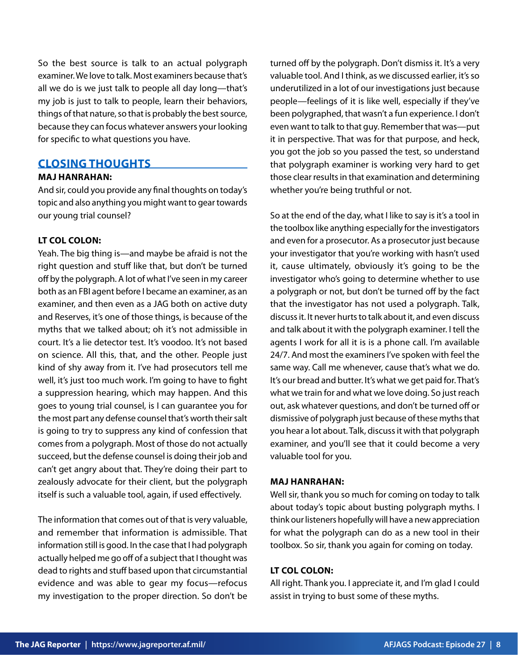So the best source is talk to an actual polygraph examiner. We love to talk. Most examiners because that's all we do is we just talk to people all day long—that's my job is just to talk to people, learn their behaviors, things of that nature, so that is probably the best source, because they can focus whatever answers your looking for specific to what questions you have.

# **CLOSING THOUGHTS**

#### **MAJ HANRAHAN:**

And sir, could you provide any final thoughts on today's topic and also anything you might want to gear towards our young trial counsel?

#### **LT COL COLON:**

Yeah. The big thing is—and maybe be afraid is not the right question and stuff like that, but don't be turned off by the polygraph. A lot of what I've seen in my career both as an FBI agent before I became an examiner, as an examiner, and then even as a JAG both on active duty and Reserves, it's one of those things, is because of the myths that we talked about; oh it's not admissible in court. It's a lie detector test. It's voodoo. It's not based on science. All this, that, and the other. People just kind of shy away from it. I've had prosecutors tell me well, it's just too much work. I'm going to have to fight a suppression hearing, which may happen. And this goes to young trial counsel, is I can guarantee you for the most part any defense counsel that's worth their salt is going to try to suppress any kind of confession that comes from a polygraph. Most of those do not actually succeed, but the defense counsel is doing their job and can't get angry about that. They're doing their part to zealously advocate for their client, but the polygraph itself is such a valuable tool, again, if used effectively.

The information that comes out of that is very valuable, and remember that information is admissible. That information still is good. In the case that I had polygraph actually helped me go off of a subject that I thought was dead to rights and stuff based upon that circumstantial evidence and was able to gear my focus—refocus my investigation to the proper direction. So don't be turned off by the polygraph. Don't dismiss it. It's a very valuable tool. And I think, as we discussed earlier, it's so underutilized in a lot of our investigations just because people—feelings of it is like well, especially if they've been polygraphed, that wasn't a fun experience. I don't even want to talk to that guy. Remember that was—put it in perspective. That was for that purpose, and heck, you got the job so you passed the test, so understand that polygraph examiner is working very hard to get those clear results in that examination and determining whether you're being truthful or not.

So at the end of the day, what I like to say is it's a tool in the toolbox like anything especially for the investigators and even for a prosecutor. As a prosecutor just because your investigator that you're working with hasn't used it, cause ultimately, obviously it's going to be the investigator who's going to determine whether to use a polygraph or not, but don't be turned off by the fact that the investigator has not used a polygraph. Talk, discuss it. It never hurts to talk about it, and even discuss and talk about it with the polygraph examiner. I tell the agents I work for all it is is a phone call. I'm available 24/7. And most the examiners I've spoken with feel the same way. Call me whenever, cause that's what we do. It's our bread and butter. It's what we get paid for. That's what we train for and what we love doing. So just reach out, ask whatever questions, and don't be turned off or dismissive of polygraph just because of these myths that you hear a lot about. Talk, discuss it with that polygraph examiner, and you'll see that it could become a very valuable tool for you.

#### **MAJ HANRAHAN:**

Well sir, thank you so much for coming on today to talk about today's topic about busting polygraph myths. I think our listeners hopefully will have a new appreciation for what the polygraph can do as a new tool in their toolbox. So sir, thank you again for coming on today.

#### **LT COL COLON:**

All right. Thank you. I appreciate it, and I'm glad I could assist in trying to bust some of these myths.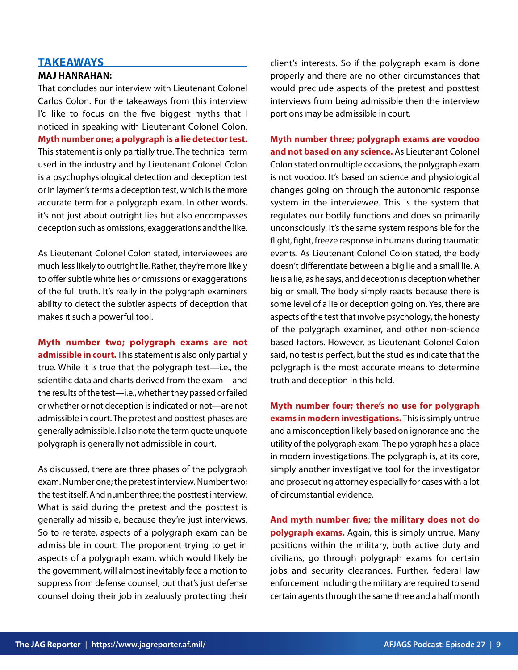# **TAKEAWAYS**

## **MAJ HANRAHAN:**

That concludes our interview with Lieutenant Colonel Carlos Colon. For the takeaways from this interview I'd like to focus on the five biggest myths that I noticed in speaking with Lieutenant Colonel Colon. **Myth number one; a polygraph is a lie detector test.** This statement is only partially true. The technical term used in the industry and by Lieutenant Colonel Colon is a psychophysiological detection and deception test or in laymen's terms a deception test, which is the more accurate term for a polygraph exam. In other words, it's not just about outright lies but also encompasses deception such as omissions, exaggerations and the like.

As Lieutenant Colonel Colon stated, interviewees are much less likely to outright lie. Rather, they're more likely to offer subtle white lies or omissions or exaggerations of the full truth. It's really in the polygraph examiners ability to detect the subtler aspects of deception that makes it such a powerful tool.

**Myth number two; polygraph exams are not admissible in court.** This statement is also only partially true. While it is true that the polygraph test—i.e., the scientific data and charts derived from the exam—and the results of the test—i.e., whether they passed or failed or whether or not deception is indicated or not—are not admissible in court. The pretest and posttest phases are generally admissible. I also note the term quote unquote polygraph is generally not admissible in court.

As discussed, there are three phases of the polygraph exam. Number one; the pretest interview. Number two; the test itself. And number three; the posttest interview. What is said during the pretest and the posttest is generally admissible, because they're just interviews. So to reiterate, aspects of a polygraph exam can be admissible in court. The proponent trying to get in aspects of a polygraph exam, which would likely be the government, will almost inevitably face a motion to suppress from defense counsel, but that's just defense counsel doing their job in zealously protecting their client's interests. So if the polygraph exam is done properly and there are no other circumstances that would preclude aspects of the pretest and posttest interviews from being admissible then the interview portions may be admissible in court.

**Myth number three; polygraph exams are voodoo and not based on any science.** As Lieutenant Colonel Colon stated on multiple occasions, the polygraph exam is not voodoo. It's based on science and physiological changes going on through the autonomic response system in the interviewee. This is the system that regulates our bodily functions and does so primarily unconsciously. It's the same system responsible for the flight, fight, freeze response in humans during traumatic events. As Lieutenant Colonel Colon stated, the body doesn't differentiate between a big lie and a small lie. A lie is a lie, as he says, and deception is deception whether big or small. The body simply reacts because there is some level of a lie or deception going on. Yes, there are aspects of the test that involve psychology, the honesty of the polygraph examiner, and other non-science based factors. However, as Lieutenant Colonel Colon said, no test is perfect, but the studies indicate that the polygraph is the most accurate means to determine truth and deception in this field.

**Myth number four; there's no use for polygraph exams in modern investigations.** This is simply untrue and a misconception likely based on ignorance and the utility of the polygraph exam. The polygraph has a place in modern investigations. The polygraph is, at its core, simply another investigative tool for the investigator and prosecuting attorney especially for cases with a lot of circumstantial evidence.

**And myth number five; the military does not do polygraph exams.** Again, this is simply untrue. Many positions within the military, both active duty and civilians, go through polygraph exams for certain jobs and security clearances. Further, federal law enforcement including the military are required to send certain agents through the same three and a half month